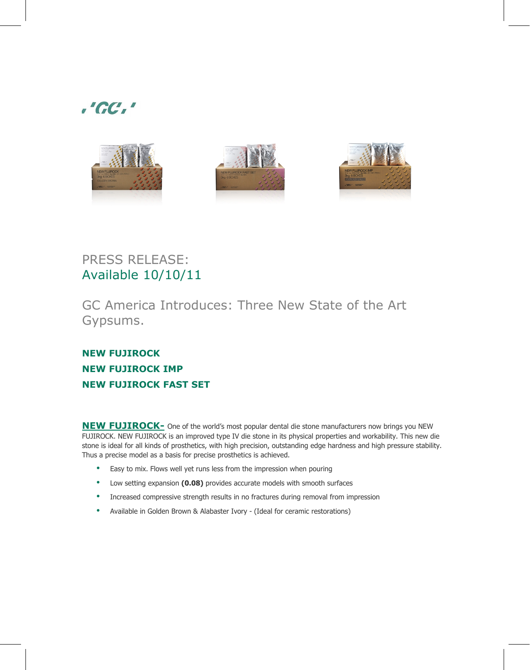



## PRESS RELEASE: Available 10/10/11

GC America Introduces: Three New State of the Art Gypsums.

## **NEW FUJIROCK NEW FUJIROCK IMP NEW FUJIROCK FAST SET**

**NEW FUJIROCK-** One of the world's most popular dental die stone manufacturers now brings you NEW FUJIROCK. NEW FUJIROCK is an improved type IV die stone in its physical properties and workability. This new die stone is ideal for all kinds of prosthetics, with high precision, outstanding edge hardness and high pressure stability. Thus a precise model as a basis for precise prosthetics is achieved.

- Easy to mix. Flows well yet runs less from the impression when pouring
- Low setting expansion **(0.08)** provides accurate models with smooth surfaces
- Increased compressive strength results in no fractures during removal from impression
- Available in Golden Brown & Alabaster Ivory (Ideal for ceramic restorations)